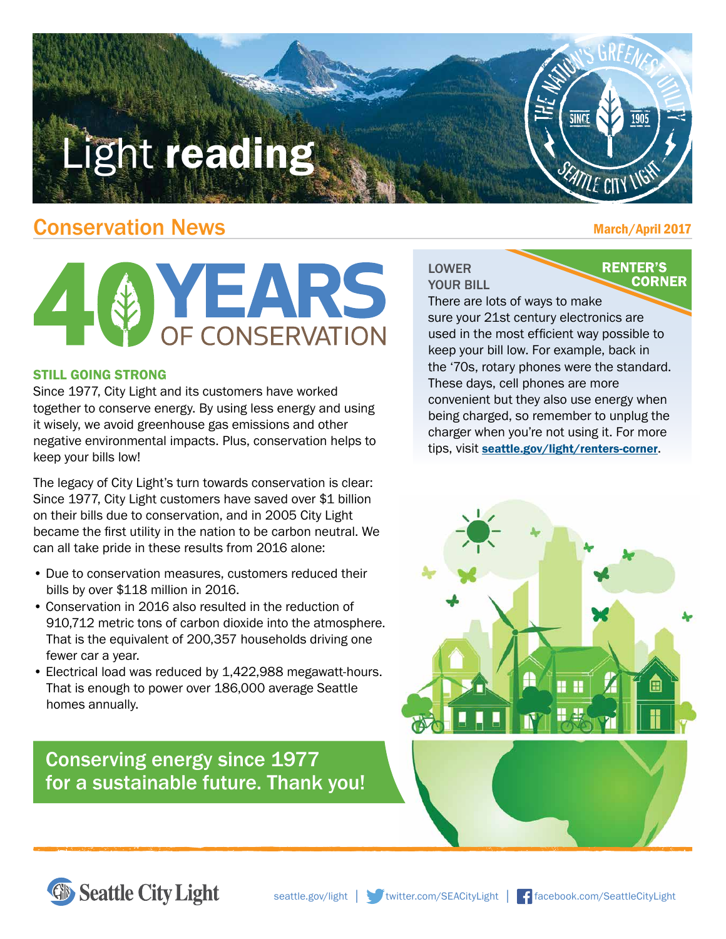## Light reading

#### Conservation News

# **YEARS**<br>OF CONSERVATION

#### STILL GOING STRONG

Since 1977, City Light and its customers have worked together to conserve energy. By using less energy and using it wisely, we avoid greenhouse gas emissions and other negative environmental impacts. Plus, conservation helps to keep your bills low!

The legacy of City Light's turn towards conservation is clear: Since 1977, City Light customers have saved over \$1 billion on their bills due to conservation, and in 2005 City Light became the first utility in the nation to be carbon neutral. We can all take pride in these results from 2016 alone:

- Due to conservation measures, customers reduced their bills by over \$118 million in 2016.
- Conservation in 2016 also resulted in the reduction of 910,712 metric tons of carbon dioxide into the atmosphere. That is the equivalent of 200,357 households driving one fewer car a year.
- Electrical load was reduced by 1,422,988 megawatt-hours. That is enough to power over 186,000 average Seattle homes annually.

#### Conserving energy since 1977 for a sustainable future. Thank you!

#### March/April 2017

**CORNER** 

**RENTER'S** 

FATTLE CITY LIFE

#### LOWER YOUR BILL

There are lots of ways to make sure your 21st century electronics are used in the most efficient way possible to keep your bill low. For example, back in the '70s, rotary phones were the standard. These days, cell phones are more convenient but they also use energy when being charged, so remember to unplug the charger when you're not using it. For more tips, visit [seattle.gov/light/renters-corner](http://www.seattle.gov/light/renters-corner).